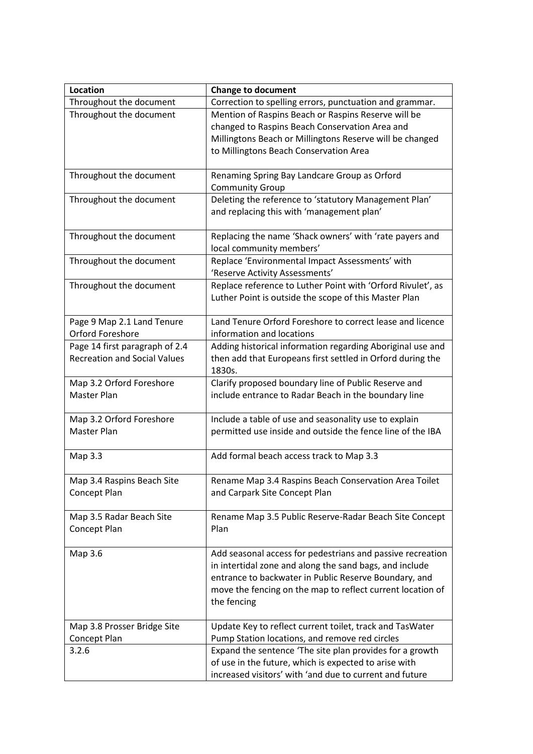| Location                                   | <b>Change to document</b>                                                              |
|--------------------------------------------|----------------------------------------------------------------------------------------|
| Throughout the document                    | Correction to spelling errors, punctuation and grammar.                                |
| Throughout the document                    | Mention of Raspins Beach or Raspins Reserve will be                                    |
|                                            | changed to Raspins Beach Conservation Area and                                         |
|                                            | Millingtons Beach or Millingtons Reserve will be changed                               |
|                                            | to Millingtons Beach Conservation Area                                                 |
| Throughout the document                    | Renaming Spring Bay Landcare Group as Orford                                           |
|                                            | <b>Community Group</b>                                                                 |
| Throughout the document                    | Deleting the reference to 'statutory Management Plan'                                  |
|                                            | and replacing this with 'management plan'                                              |
|                                            |                                                                                        |
| Throughout the document                    | Replacing the name 'Shack owners' with 'rate payers and                                |
|                                            | local community members'                                                               |
| Throughout the document                    | Replace 'Environmental Impact Assessments' with<br>'Reserve Activity Assessments'      |
| Throughout the document                    | Replace reference to Luther Point with 'Orford Rivulet', as                            |
|                                            | Luther Point is outside the scope of this Master Plan                                  |
|                                            |                                                                                        |
| Page 9 Map 2.1 Land Tenure                 | Land Tenure Orford Foreshore to correct lease and licence                              |
| <b>Orford Foreshore</b>                    | information and locations                                                              |
| Page 14 first paragraph of 2.4             | Adding historical information regarding Aboriginal use and                             |
| <b>Recreation and Social Values</b>        | then add that Europeans first settled in Orford during the                             |
|                                            | 1830s.                                                                                 |
| Map 3.2 Orford Foreshore                   | Clarify proposed boundary line of Public Reserve and                                   |
| Master Plan                                | include entrance to Radar Beach in the boundary line                                   |
| Map 3.2 Orford Foreshore                   | Include a table of use and seasonality use to explain                                  |
| Master Plan                                | permitted use inside and outside the fence line of the IBA                             |
|                                            |                                                                                        |
| Map 3.3                                    | Add formal beach access track to Map 3.3                                               |
|                                            |                                                                                        |
| Map 3.4 Raspins Beach Site<br>Concept Plan | Rename Map 3.4 Raspins Beach Conservation Area Toilet<br>and Carpark Site Concept Plan |
|                                            |                                                                                        |
| Map 3.5 Radar Beach Site                   | Rename Map 3.5 Public Reserve-Radar Beach Site Concept                                 |
| Concept Plan                               | Plan                                                                                   |
|                                            |                                                                                        |
| Map 3.6                                    | Add seasonal access for pedestrians and passive recreation                             |
|                                            | in intertidal zone and along the sand bags, and include                                |
|                                            | entrance to backwater in Public Reserve Boundary, and                                  |
|                                            | move the fencing on the map to reflect current location of                             |
|                                            | the fencing                                                                            |
| Map 3.8 Prosser Bridge Site                | Update Key to reflect current toilet, track and TasWater                               |
| Concept Plan                               | Pump Station locations, and remove red circles                                         |
| 3.2.6                                      | Expand the sentence 'The site plan provides for a growth                               |
|                                            | of use in the future, which is expected to arise with                                  |
|                                            | increased visitors' with 'and due to current and future                                |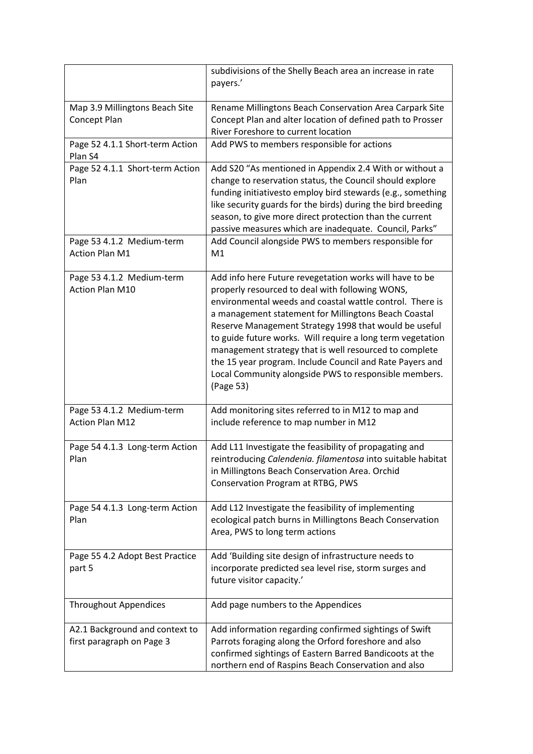|                                                             | subdivisions of the Shelly Beach area an increase in rate<br>payers.'                                                                                                                                                                                                                                                                                                                                                                                                                                                                             |
|-------------------------------------------------------------|---------------------------------------------------------------------------------------------------------------------------------------------------------------------------------------------------------------------------------------------------------------------------------------------------------------------------------------------------------------------------------------------------------------------------------------------------------------------------------------------------------------------------------------------------|
| Map 3.9 Millingtons Beach Site<br>Concept Plan              | Rename Millingtons Beach Conservation Area Carpark Site<br>Concept Plan and alter location of defined path to Prosser<br>River Foreshore to current location                                                                                                                                                                                                                                                                                                                                                                                      |
| Page 52 4.1.1 Short-term Action<br>Plan S4                  | Add PWS to members responsible for actions                                                                                                                                                                                                                                                                                                                                                                                                                                                                                                        |
| Page 52 4.1.1 Short-term Action<br>Plan                     | Add S20 "As mentioned in Appendix 2.4 With or without a<br>change to reservation status, the Council should explore<br>funding initiativesto employ bird stewards (e.g., something<br>like security guards for the birds) during the bird breeding<br>season, to give more direct protection than the current<br>passive measures which are inadequate. Council, Parks"                                                                                                                                                                           |
| Page 53 4.1.2 Medium-term<br><b>Action Plan M1</b>          | Add Council alongside PWS to members responsible for<br>M1                                                                                                                                                                                                                                                                                                                                                                                                                                                                                        |
| Page 53 4.1.2 Medium-term<br><b>Action Plan M10</b>         | Add info here Future revegetation works will have to be<br>properly resourced to deal with following WONS,<br>environmental weeds and coastal wattle control. There is<br>a management statement for Millingtons Beach Coastal<br>Reserve Management Strategy 1998 that would be useful<br>to guide future works. Will require a long term vegetation<br>management strategy that is well resourced to complete<br>the 15 year program. Include Council and Rate Payers and<br>Local Community alongside PWS to responsible members.<br>(Page 53) |
| Page 53 4.1.2 Medium-term<br><b>Action Plan M12</b>         | Add monitoring sites referred to in M12 to map and<br>include reference to map number in M12                                                                                                                                                                                                                                                                                                                                                                                                                                                      |
| Page 54 4.1.3 Long-term Action<br>Plan                      | Add L11 Investigate the feasibility of propagating and<br>reintroducing Calendenia. filamentosa into suitable habitat<br>in Millingtons Beach Conservation Area. Orchid<br>Conservation Program at RTBG, PWS                                                                                                                                                                                                                                                                                                                                      |
| Page 54 4.1.3 Long-term Action<br>Plan                      | Add L12 Investigate the feasibility of implementing<br>ecological patch burns in Millingtons Beach Conservation<br>Area, PWS to long term actions                                                                                                                                                                                                                                                                                                                                                                                                 |
| Page 55 4.2 Adopt Best Practice<br>part 5                   | Add 'Building site design of infrastructure needs to<br>incorporate predicted sea level rise, storm surges and<br>future visitor capacity.'                                                                                                                                                                                                                                                                                                                                                                                                       |
| <b>Throughout Appendices</b>                                | Add page numbers to the Appendices                                                                                                                                                                                                                                                                                                                                                                                                                                                                                                                |
| A2.1 Background and context to<br>first paragraph on Page 3 | Add information regarding confirmed sightings of Swift<br>Parrots foraging along the Orford foreshore and also<br>confirmed sightings of Eastern Barred Bandicoots at the<br>northern end of Raspins Beach Conservation and also                                                                                                                                                                                                                                                                                                                  |